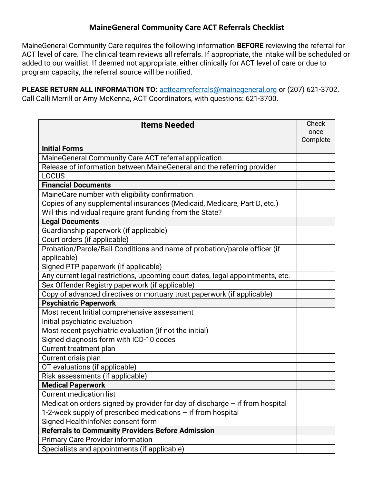## MaineGeneral Community Care ACT Referrals Checklist

MaineGeneral Community Care requires the following information BEFORE reviewing the referral for ACT level of care. The clinical team reviews all referrals. If appropriate, the intake will be scheduled or added to our waitlist. If deemed not appropriate, either clinically for ACT level of care or due to program capacity, the referral source will be notified.

PLEASE RETURN ALL INFORMATION TO: actteamreferrals@mainegeneral.org or (207) 621-3702. Call Calli Merrill or Amy McKenna, ACT Coordinators, with questions: 621-3700.

| <b>Items Needed</b>                                                            | Check<br>once |
|--------------------------------------------------------------------------------|---------------|
|                                                                                | Complete      |
| <b>Initial Forms</b>                                                           |               |
| MaineGeneral Community Care ACT referral application                           |               |
| Release of information between MaineGeneral and the referring provider         |               |
| <b>LOCUS</b>                                                                   |               |
| <b>Financial Documents</b>                                                     |               |
| MaineCare number with eligibility confirmation                                 |               |
| Copies of any supplemental insurances (Medicaid, Medicare, Part D, etc.)       |               |
| Will this individual require grant funding from the State?                     |               |
| <b>Legal Documents</b>                                                         |               |
| Guardianship paperwork (if applicable)                                         |               |
| Court orders (if applicable)                                                   |               |
| Probation/Parole/Bail Conditions and name of probation/parole officer (if      |               |
| applicable)                                                                    |               |
| Signed PTP paperwork (if applicable)                                           |               |
| Any current legal restrictions, upcoming court dates, legal appointments, etc. |               |
| Sex Offender Registry paperwork (if applicable)                                |               |
| Copy of advanced directives or mortuary trust paperwork (if applicable)        |               |
| <b>Psychiatric Paperwork</b>                                                   |               |
| Most recent Initial comprehensive assessment                                   |               |
| Initial psychiatric evaluation                                                 |               |
| Most recent psychiatric evaluation (if not the initial)                        |               |
| Signed diagnosis form with ICD-10 codes                                        |               |
| Current treatment plan                                                         |               |
| Current crisis plan                                                            |               |
| OT evaluations (if applicable)                                                 |               |
| Risk assessments (if applicable)                                               |               |
| <b>Medical Paperwork</b>                                                       |               |
| <b>Current medication list</b>                                                 |               |
| Medication orders signed by provider for day of discharge $-$ if from hospital |               |
| 1-2-week supply of prescribed medications - if from hospital                   |               |
| Signed HealthInfoNet consent form                                              |               |
| <b>Referrals to Community Providers Before Admission</b>                       |               |
| <b>Primary Care Provider information</b>                                       |               |
| Specialists and appointments (if applicable)                                   |               |